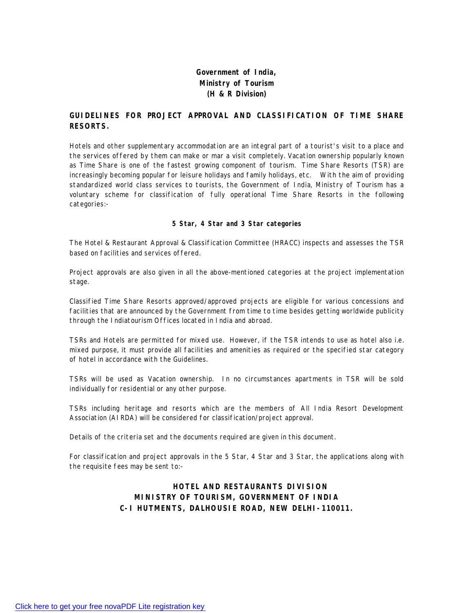### **Government of India, Ministry of Tourism (H & R Division)**

#### **GUIDELINES FOR PROJECT APPROVAL AND CLASSIFICATION OF TIME SHARE RESORTS.**

Hotels and other supplementary accommodation are an integral part of a tourist's visit to a place and the services offered by them can make or mar a visit completely. Vacation ownership popularly known as Time Share is one of the fastest growing component of tourism. Time Share Resorts (TSR) are increasingly becoming popular for leisure holidays and family holidays, etc. With the aim of providing standardized world class services to tourists, the Government of India, Ministry of Tourism has a voluntary scheme for classification of fully operational Time Share Resorts in the following categories:-

#### **5 Star, 4 Star and 3 Star categories**

The Hotel & Restaurant Approval & Classification Committee (HRACC) inspects and assesses the TSR based on facilities and services offered.

Project approvals are also given in all the above-mentioned categories at the project implementation stage.

Classified Time Share Resorts approved/approved projects are eligible for various concessions and facilities that are announced by the Government from time to time besides getting worldwide publicity through the Indiatourism Offices located in India and abroad.

TSRs and Hotels are permitted for mixed use. However, if the TSR intends to use as hotel also i.e. mixed purpose, it must provide all facilities and amenities as required or the specified star category of hotel in accordance with the Guidelines.

TSRs will be used as Vacation ownership. In no circumstances apartments in TSR will be sold individually for residential or any other purpose.

TSRs including heritage and resorts which are the members of All India Resort Development Association (AIRDA) will be considered for classification/project approval.

Details of the criteria set and the documents required are given in this document.

For classification and project approvals in the 5 Star, 4 Star and 3 Star, the applications along with the requisite fees may be sent to:-

#### **HOTEL AND RESTAURANTS DIVISION MINISTRY OF TOURISM, GOVERNMENT OF INDIA C-I HUTMENTS, DALHOUSIE ROAD, NEW DELHI-110011.**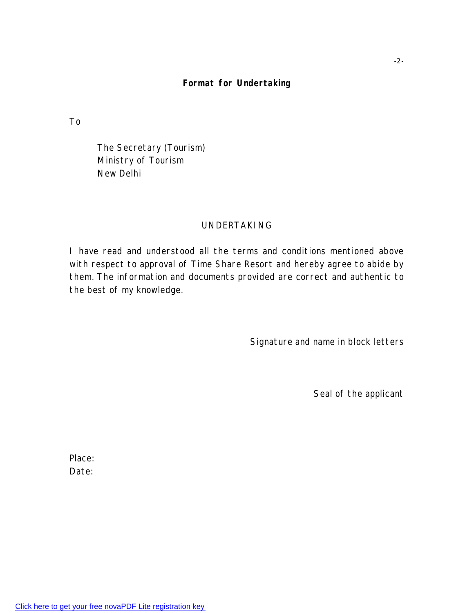# **Format for Undertaking**

To

The Secretary (Tourism) Ministry of Tourism New Delhi

### UNDERTAKING

I have read and understood all the terms and conditions mentioned above with respect to approval of Time Share Resort and hereby agree to abide by them. The information and documents provided are correct and authentic to the best of my knowledge.

Signature and name in block letters

Seal of the applicant

Place: Date: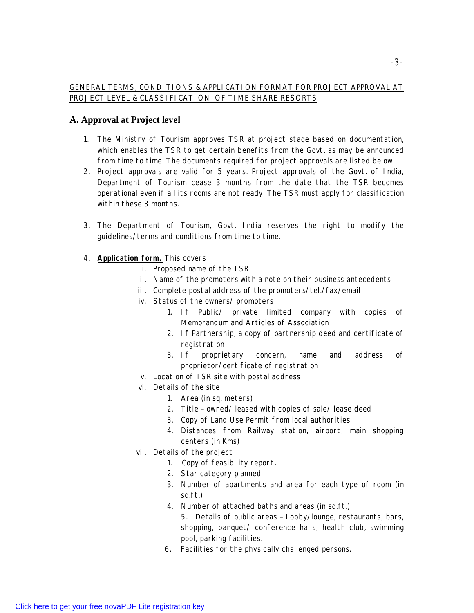#### GENERAL TERMS, CONDITIONS & APPLICATION FORMAT FOR PROJECT APPROVAL AT PROJECT LEVEL & CLASSIFICATION OF TIME SHARE RESORTS

## **A. Approval at Project level**

- 1. The Ministry of Tourism approves TSR at project stage based on documentation, which enables the TSR to get certain benefits from the Govt. as may be announced from time to time. The documents required for project approvals are listed below.
- 2. Project approvals are valid for 5 years. Project approvals of the Govt. of India, Department of Tourism cease 3 months from the date that the TSR becomes operational even if all its rooms are not ready. The TSR must apply for classification within these 3 months.
- 3. The Department of Tourism, Govt. India reserves the right to modify the guidelines/terms and conditions from time to time.
- 4. **Application form.** This covers
	- i. Proposed name of the TSR
	- ii. Name of the promoters with a note on their business antecedents
	- iii. Complete postal address of the promoters/tel./fax/email
	- iv. Status of the owners/ promoters
		- 1. If Public/ private limited company with copies of Memorandum and Articles of Association
		- 2. If Partnership, a copy of partnership deed and certificate of registration
		- 3. If proprietary concern, name and address of proprietor/certificate of registration
	- v. Location of TSR site with postal address
	- vi. Details of the site
		- 1. Area (in sq. meters)
		- 2. Title owned/ leased with copies of sale/ lease deed
		- 3. Copy of Land Use Permit from local authorities
		- 4. Distances from Railway station, airport, main shopping centers (in Kms)
	- vii. Details of the project
		- 1. Copy of feasibility report*.*
		- 2. Star category planned
		- 3. Number of apartments and area for each type of room (in sq.ft.)
		- 4. Number of attached baths and areas (in sq.ft.)
			- 5. Details of public areas Lobby/lounge, restaurants, bars, shopping, banquet/ conference halls, health club, swimming pool, parking facilities.
		- 6. Facilities for the physically challenged persons.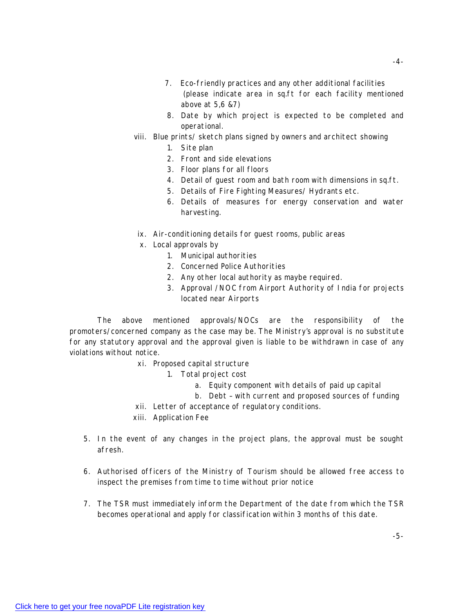- 7. Eco-friendly practices and any other additional facilities (please indicate area in sq.ft for each facility mentioned above at 5,6 &7)
- 8. Date by which project is expected to be completed and operational.
- viii. Blue prints/ sketch plans signed by owners and architect showing
	- 1. Site plan
	- 2. Front and side elevations
	- 3. Floor plans for all floors
	- 4. Detail of guest room and bath room with dimensions in sq.ft.
	- 5. Details of Fire Fighting Measures/ Hydrants etc.
	- 6. Details of measures for energy conservation and water harvesting.
- ix. Air-conditioning details for guest rooms, public areas
- x. Local approvals by
	- 1. Municipal authorities
	- 2. Concerned Police Authorities
	- 2. Any other local authority as maybe required.
	- 3. Approval /NOC from Airport Authority of India for projects located near Airports

The above mentioned approvals/NOCs are the responsibility of the promoters/concerned company as the case may be. The Ministry's approval is no substitute for any statutory approval and the approval given is liable to be withdrawn in case of any violations without notice.

- xi. Proposed capital structure
	- 1. Total project cost
		- a. Equity component with details of paid up capital
		- b. Debt with current and proposed sources of funding
- xii. Letter of acceptance of regulatory conditions.
- xiii. Application Fee
- 5. In the event of any changes in the project plans, the approval must be sought afresh.
- 6. Authorised officers of the Ministry of Tourism should be allowed free access to inspect the premises from time to time without prior notice
- 7. The TSR must immediately inform the Department of the date from which the TSR becomes operational and apply for classification within 3 months of this date.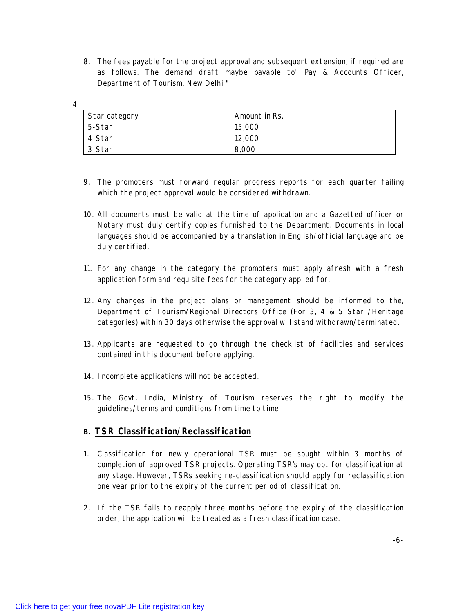8. The fees payable for the project approval and subsequent extension, if required are as follows. The demand draft maybe payable to" Pay & Accounts Officer, Department of Tourism, New Delhi ".

| ۹<br>÷ |
|--------|
|--------|

| Star category | Amount in Rs. |
|---------------|---------------|
| 5-Star        | 15,000        |
| 4-Star        | 12,000        |
| 3-Star        | 8,000         |

- 9. The promoters must forward regular progress reports for each quarter failing which the project approval would be considered withdrawn.
- 10. All documents must be valid at the time of application and a Gazetted officer or Notary must duly certify copies furnished to the Department. Documents in local languages should be accompanied by a translation in English/official language and be duly certified.
- 11. For any change in the category the promoters must apply afresh with a fresh application form and requisite fees for the category applied for.
- 12. Any changes in the project plans or management should be informed to the, Department of Tourism/Regional Directors Office (For 3, 4 & 5 Star /Heritage categories) within 30 days otherwise the approval will stand withdrawn/terminated.
- 13. Applicants are requested to go through the checklist of facilities and services contained in this document before applying.
- 14. Incomplete applications will not be accepted.
- 15. The Govt. India, Ministry of Tourism reserves the right to modify the guidelines/terms and conditions from time to time

# **B. TSR Classification/Reclassification**

- 1. Classification for newly operational TSR must be sought within 3 months of completion of approved TSR projects. Operating TSR's may opt for classification at any stage. However, TSRs seeking re-classification should apply for reclassification one year prior to the expiry of the current period of classification.
- 2. If the TSR fails to reapply three months before the expiry of the classification order, the application will be treated as a fresh classification case.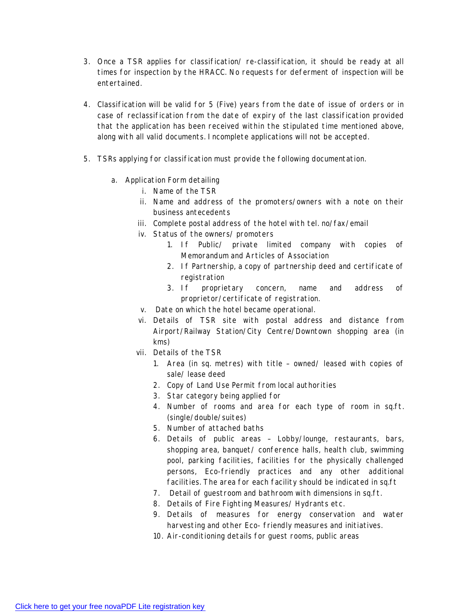- 3. Once a TSR applies for classification/ re-classification, it should be ready at all times for inspection by the HRACC. No requests for deferment of inspection will be entertained.
- 4. Classification will be valid for 5 (Five) years from the date of issue of orders or in case of reclassification from the date of expiry of the last classification provided that the application has been received within the stipulated time mentioned above, along with all valid documents. Incomplete applications will not be accepted.
- 5. TSRs applying for classification must provide the following documentation.
	- a. Application Form detailing
		- i. Name of the TSR
		- ii. Name and address of the promoters/owners with a note on their business antecedents
		- iii. Complete postal address of the hotel with tel. no/fax/email
		- iv. Status of the owners/ promoters
			- 1. If Public/ private limited company with copies of Memorandum and Articles of Association
			- 2. If Partnership, a copy of partnership deed and certificate of registration
			- 3. If proprietary concern, name and address of proprietor/certificate of registration.
		- v. Date on which the hotel became operational.
		- vi. Details of TSR site with postal address and distance from Airport/Railway Station/City Centre/Downtown shopping area (in kms)
		- vii. Details of the TSR
			- 1. Area (in sq. metres) with title owned/ leased with copies of sale/ lease deed
			- 2. Copy of Land Use Permit from local authorities
			- 3. Star category being applied for
			- 4. Number of rooms and area for each type of room in sq.ft. (single/double/suites)
			- 5. Number of attached baths
			- 6. Details of public areas Lobby/lounge, restaurants, bars, shopping area, banquet/ conference halls, health club, swimming pool, parking facilities, facilities for the physically challenged persons, Eco-friendly practices and any other additional facilities. The area for each facility should be indicated in sq.ft
			- 7. Detail of guestroom and bathroom with dimensions in sq.ft.
			- 8. Details of Fire Fighting Measures/ Hydrants etc.
			- 9. Details of measures for energy conservation and water harvesting and other Eco- friendly measures and initiatives.
			- 10. Air-conditioning details for guest rooms, public areas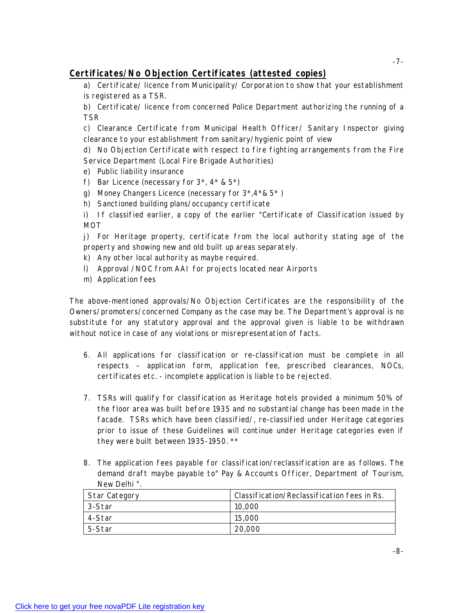# **Certificates/No Objection Certificates (attested copies)**

a) Certificate/ licence from Municipality/ Corporation to show that your establishment is registered as a TSR.

b) Certificate/ licence from concerned Police Department authorizing the running of a TSR

c) Clearance Certificate from Municipal Health Officer/ Sanitary Inspector giving clearance to your establishment from sanitary/hygienic point of view

d) No Objection Certificate with respect to fire fighting arrangements from the Fire Service Department (Local Fire Brigade Authorities)

- e) Public liability insurance
- f) Bar Licence (necessary for  $3^*$ ,  $4^*$  &  $5^*$ )
- g) Money Changers Licence (necessary for 3\*,4\*& 5\* )
- h) Sanctioned building plans/occupancy certificate

i) If classified earlier, a copy of the earlier "Certificate of Classification issued by MOT

j) For Heritage property, certificate from the local authority stating age of the property and showing new and old built up areas separately.

- k) Any other local authority as maybe required.
- l) Approval /NOC from AAI for projects located near Airports
- m) Application fees

The above-mentioned approvals/No Objection Certificates are the responsibility of the Owners/promoters/concerned Company as the case may be. The Department's approval is no substitute for any statutory approval and the approval given is liable to be withdrawn without notice in case of any violations or misrepresentation of facts.

- 6. All applications for classification or re-classification must be complete in all respects – application form, application fee, prescribed clearances, NOCs, certificates etc. - incomplete application is liable to be rejected.
- 7. TSRs will qualify for classification as Heritage hotels provided a minimum 50% of the floor area was built before 1935 and no substantial change has been made in the facade. TSRs which have been classified/, re-classified under Heritage categories prior to issue of these Guidelines will continue under Heritage categories even if they were built between 1935-1950. \*\*
- 8. The application fees payable for classification/reclassification are as follows. The demand draft maybe payable to" Pay & Accounts Officer, Department of Tourism, New Delhi ".

| Star Category | Classification/Reclassification fees in Rs. |
|---------------|---------------------------------------------|
| 3-Star        | 10,000                                      |
| 4-Star        | 15,000                                      |
| 5-Star        | 20,000                                      |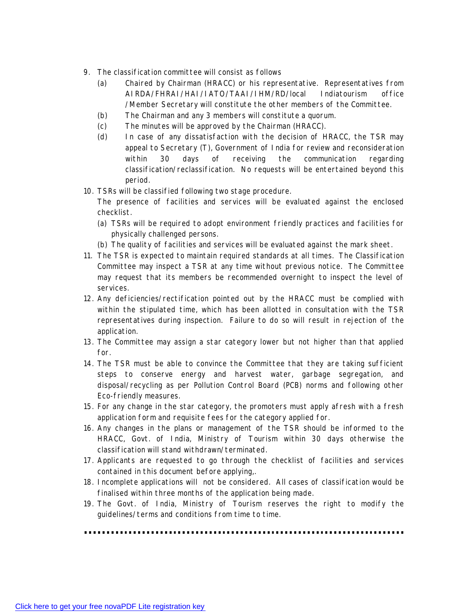- 9. The classification committee will consist as follows
	- (a) Chaired by Chairman (HRACC) or his representative. Representatives from AIRDA/FHRAI/HAI/IATO/TAAI/IHM/RD/local Indiatourism office /Member Secretary will constitute the other members of the Committee.
	- (b) The Chairman and any 3 members will constitute a quorum.
	- (c) The minutes will be approved by the Chairman (HRACC).
	- (d) In case of any dissatisfaction with the decision of HRACC, the TSR may appeal to Secretary (T), Government of India for review and reconsideration within 30 days of receiving the communication regarding classification/reclassification. No requests will be entertained beyond this period.
- 10. TSRs will be classified following two stage procedure.

The presence of facilities and services will be evaluated against the enclosed checklist.

- (a) TSRs will be required to adopt environment friendly practices and facilities for physically challenged persons.
- (b) The quality of facilities and services will be evaluated against the mark sheet.
- 11. The TSR is expected to maintain required standards at all times. The Classification Committee may inspect a TSR at any time without previous notice. The Committee may request that its members be recommended overnight to inspect the level of services.
- 12. Any deficiencies/rectification pointed out by the HRACC must be complied with within the stipulated time, which has been allotted in consultation with the TSR representatives during inspection. Failure to do so will result in rejection of the application.
- 13. The Committee may assign a star category lower but not higher than that applied for.
- 14. The TSR must be able to convince the Committee that they are taking sufficient steps to conserve energy and harvest water, garbage segregation, and disposal/recycling as per Pollution Control Board (PCB) norms and following other Eco-friendly measures.
- 15. For any change in the star category, the promoters must apply afresh with a fresh application form and requisite fees for the category applied for.
- 16. Any changes in the plans or management of the TSR should be informed to the HRACC, Govt. of India, Ministry of Tourism within 30 days otherwise the classification will stand withdrawn/terminated.
- 17. Applicants are requested to go through the checklist of facilities and services contained in this document before applying,.
- 18. Incomplete applications will not be considered. All cases of classification would be finalised within three months of the application being made.
- 19. The Govt. of India, Ministry of Tourism reserves the right to modify the guidelines/terms and conditions from time to time.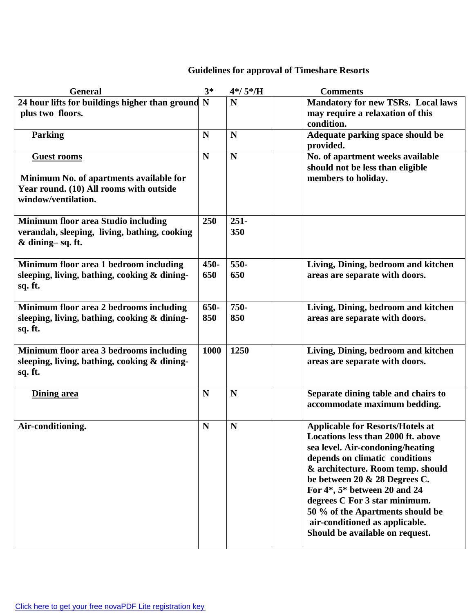# **Guidelines for approval of Timeshare Resorts**

| <b>General</b>                                                                                                                  | $3*$        | $4*/5*/H$      | <b>Comments</b>                                                                                                                                                                                                                                                                                                                                                                                     |
|---------------------------------------------------------------------------------------------------------------------------------|-------------|----------------|-----------------------------------------------------------------------------------------------------------------------------------------------------------------------------------------------------------------------------------------------------------------------------------------------------------------------------------------------------------------------------------------------------|
| 24 hour lifts for buildings higher than ground N<br>plus two floors.                                                            |             | N              | <b>Mandatory for new TSRs. Local laws</b><br>may require a relaxation of this<br>condition.                                                                                                                                                                                                                                                                                                         |
| <b>Parking</b>                                                                                                                  | N           | N              | Adequate parking space should be<br>provided.                                                                                                                                                                                                                                                                                                                                                       |
| <b>Guest rooms</b><br>Minimum No. of apartments available for<br>Year round. (10) All rooms with outside<br>window/ventilation. | $\mathbf N$ | N              | No. of apartment weeks available<br>should not be less than eligible<br>members to holiday.                                                                                                                                                                                                                                                                                                         |
| <b>Minimum floor area Studio including</b><br>verandah, sleeping, living, bathing, cooking<br>& dining-sq.ft.                   | 250         | $251 -$<br>350 |                                                                                                                                                                                                                                                                                                                                                                                                     |
| Minimum floor area 1 bedroom including<br>sleeping, living, bathing, cooking & dining-<br>sq. ft.                               | 450-<br>650 | 550-<br>650    | Living, Dining, bedroom and kitchen<br>areas are separate with doors.                                                                                                                                                                                                                                                                                                                               |
| Minimum floor area 2 bedrooms including<br>sleeping, living, bathing, cooking & dining-<br>sq. ft.                              | 650-<br>850 | 750-<br>850    | Living, Dining, bedroom and kitchen<br>areas are separate with doors.                                                                                                                                                                                                                                                                                                                               |
| Minimum floor area 3 bedrooms including<br>sleeping, living, bathing, cooking & dining-<br>sq. ft.                              | 1000        | 1250           | Living, Dining, bedroom and kitchen<br>areas are separate with doors.                                                                                                                                                                                                                                                                                                                               |
| Dining area                                                                                                                     | N           | N              | Separate dining table and chairs to<br>accommodate maximum bedding.                                                                                                                                                                                                                                                                                                                                 |
| Air-conditioning.                                                                                                               | N           | N              | <b>Applicable for Resorts/Hotels at</b><br>Locations less than 2000 ft. above<br>sea level. Air-condoning/heating<br>depends on climatic conditions<br>& architecture. Room temp. should<br>be between 20 & 28 Degrees C.<br>For 4*, 5* between 20 and 24<br>degrees C For 3 star minimum.<br>50 % of the Apartments should be<br>air-conditioned as applicable.<br>Should be available on request. |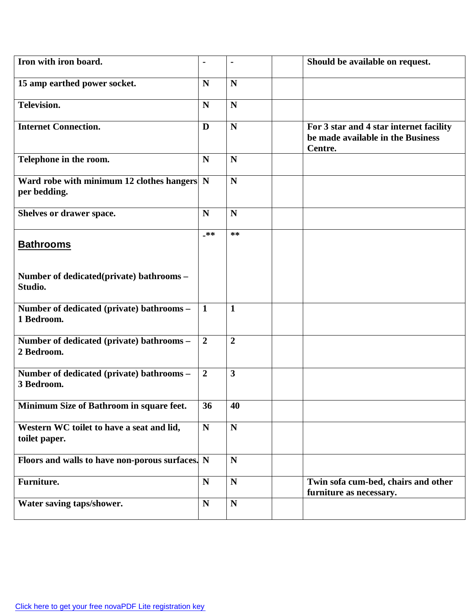| Iron with iron board.                                                     |                | -              | Should be available on request.                                                         |
|---------------------------------------------------------------------------|----------------|----------------|-----------------------------------------------------------------------------------------|
| 15 amp earthed power socket.                                              | $\mathbf N$    | N              |                                                                                         |
| Television.                                                               | $\mathbf N$    | $\mathbf N$    |                                                                                         |
| <b>Internet Connection.</b>                                               | D              | N              | For 3 star and 4 star internet facility<br>be made available in the Business<br>Centre. |
| Telephone in the room.                                                    | $\mathbf N$    | N              |                                                                                         |
| Ward robe with minimum 12 clothes hangers $\vert N \vert$<br>per bedding. |                | $\mathbf N$    |                                                                                         |
| Shelves or drawer space.                                                  | $\mathbf N$    | N              |                                                                                         |
| <b>Bathrooms</b>                                                          | _**            | $***$          |                                                                                         |
| Number of dedicated (private) bathrooms -<br>Studio.                      |                |                |                                                                                         |
| Number of dedicated (private) bathrooms -<br>1 Bedroom.                   | $\mathbf{1}$   | $\mathbf{1}$   |                                                                                         |
| Number of dedicated (private) bathrooms -<br>2 Bedroom.                   | $\overline{2}$ | $\overline{2}$ |                                                                                         |
| Number of dedicated (private) bathrooms -<br>3 Bedroom.                   | $\overline{2}$ | 3              |                                                                                         |
| Minimum Size of Bathroom in square feet.                                  | 36             | 40             |                                                                                         |
| Western WC toilet to have a seat and lid,<br>toilet paper.                | ${\bf N}$      | $\mathbf N$    |                                                                                         |
| Floors and walls to have non-porous surfaces. N                           |                | $\mathbf N$    |                                                                                         |
| Furniture.                                                                | ${\bf N}$      | ${\bf N}$      | Twin sofa cum-bed, chairs and other<br>furniture as necessary.                          |
| Water saving taps/shower.                                                 | $\mathbf N$    | ${\bf N}$      |                                                                                         |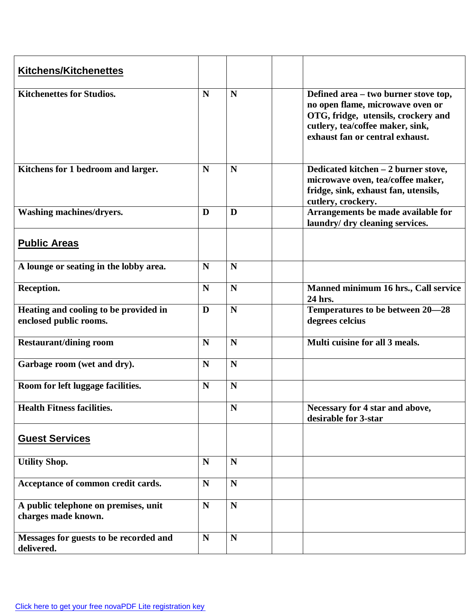| <b>Kitchens/Kitchenettes</b>                                    |             |             |                                                                                                                                                                                        |
|-----------------------------------------------------------------|-------------|-------------|----------------------------------------------------------------------------------------------------------------------------------------------------------------------------------------|
| <b>Kitchenettes for Studios.</b>                                | $\mathbf N$ | N           | Defined area – two burner stove top,<br>no open flame, microwave oven or<br>OTG, fridge, utensils, crockery and<br>cutlery, tea/coffee maker, sink,<br>exhaust fan or central exhaust. |
| Kitchens for 1 bedroom and larger.                              | $\mathbf N$ | N           | Dedicated kitchen - 2 burner stove,<br>microwave oven, tea/coffee maker,<br>fridge, sink, exhaust fan, utensils,<br>cutlery, crockery.                                                 |
| Washing machines/dryers.                                        | D           | D           | Arrangements be made available for<br>laundry/ dry cleaning services.                                                                                                                  |
| <b>Public Areas</b>                                             |             |             |                                                                                                                                                                                        |
| A lounge or seating in the lobby area.                          | $\mathbf N$ | N           |                                                                                                                                                                                        |
| Reception.                                                      | $\mathbf N$ | N           | Manned minimum 16 hrs., Call service<br>24 hrs.                                                                                                                                        |
| Heating and cooling to be provided in<br>enclosed public rooms. | D           | N           | Temperatures to be between 20–28<br>degrees celcius                                                                                                                                    |
| <b>Restaurant/dining room</b>                                   | $\mathbf N$ | N           | Multi cuisine for all 3 meals.                                                                                                                                                         |
| Garbage room (wet and dry).                                     | $\mathbf N$ | N           |                                                                                                                                                                                        |
| Room for left luggage facilities.                               | $\mathbf N$ | N           |                                                                                                                                                                                        |
| <b>Health Fitness facilities.</b>                               |             | N           | Necessary for 4 star and above,<br>desirable for 3-star                                                                                                                                |
| <b>Guest Services</b>                                           |             |             |                                                                                                                                                                                        |
| <b>Utility Shop.</b>                                            | $\mathbf N$ | $\mathbf N$ |                                                                                                                                                                                        |
| Acceptance of common credit cards.                              | $\mathbf N$ | $\mathbf N$ |                                                                                                                                                                                        |
| A public telephone on premises, unit<br>charges made known.     | $\mathbf N$ | N           |                                                                                                                                                                                        |
| Messages for guests to be recorded and<br>delivered.            | ${\bf N}$   | N           |                                                                                                                                                                                        |